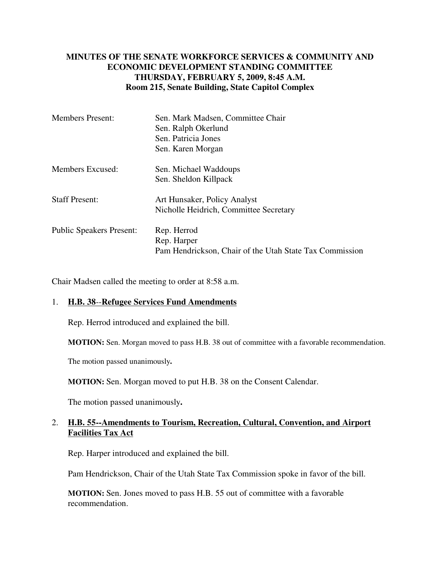## **MINUTES OF THE SENATE WORKFORCE SERVICES & COMMUNITY AND ECONOMIC DEVELOPMENT STANDING COMMITTEE THURSDAY, FEBRUARY 5, 2009, 8:45 A.M. Room 215, Senate Building, State Capitol Complex**

| <b>Members Present:</b>         | Sen. Mark Madsen, Committee Chair<br>Sen. Ralph Okerlund<br>Sen. Patricia Jones<br>Sen. Karen Morgan |
|---------------------------------|------------------------------------------------------------------------------------------------------|
| Members Excused:                | Sen. Michael Waddoups<br>Sen. Sheldon Killpack                                                       |
| <b>Staff Present:</b>           | Art Hunsaker, Policy Analyst<br>Nicholle Heidrich, Committee Secretary                               |
| <b>Public Speakers Present:</b> | Rep. Herrod<br>Rep. Harper<br>Pam Hendrickson, Chair of the Utah State Tax Commission                |

Chair Madsen called the meeting to order at 8:58 a.m.

## 1. **H.B. 38**--**Refugee Services Fund Amendments**

Rep. Herrod introduced and explained the bill.

**MOTION:** Sen. Morgan moved to pass H.B. 38 out of committee with a favorable recommendation.

The motion passed unanimously**.**

**MOTION:** Sen. Morgan moved to put H.B. 38 on the Consent Calendar.

The motion passed unanimously**.**

## 2. **H.B. 55--Amendments to Tourism, Recreation, Cultural, Convention, and Airport Facilities Tax Act**

Rep. Harper introduced and explained the bill.

Pam Hendrickson, Chair of the Utah State Tax Commission spoke in favor of the bill.

**MOTION:** Sen. Jones moved to pass H.B. 55 out of committee with a favorable recommendation.